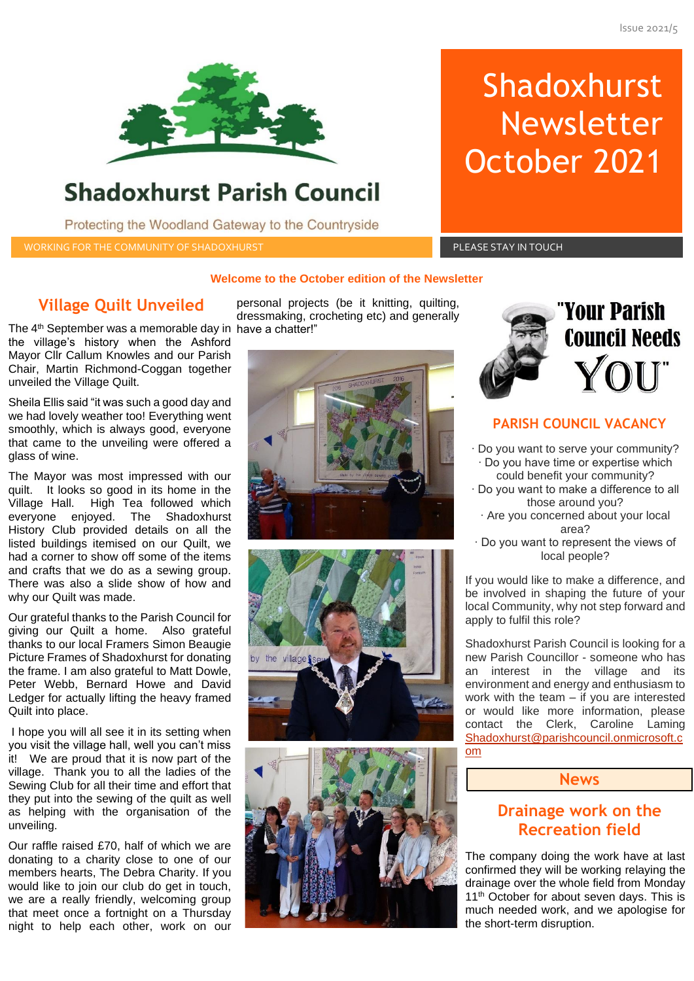

## **Shadoxhurst Parish Council**

Protecting the Woodland Gateway to the Countryside

WORKING FOR THE COMMUNITY OF SHADOXHURST AND RESIDENT RESIDENCE IN THE PLEASE STAY IN TOUCH

# Shadoxhurst Newsletter October 2021

#### **Welcome to the October edition of the Newsletter**

## **Village Quilt Unveiled**

The 4 th September was a memorable day in have a chatter!" the village's history when the Ashford Mayor Cllr Callum Knowles and our Parish Chair, Martin Richmond-Coggan together unveiled the Village Quilt.

Sheila Ellis said "it was such a good day and we had lovely weather too! Everything went smoothly, which is always good, everyone that came to the unveiling were offered a glass of wine.

The Mayor was most impressed with our quilt. It looks so good in its home in the Village Hall. High Tea followed which everyone enjoyed. The Shadoxhurst History Club provided details on all the listed buildings itemised on our Quilt, we had a corner to show off some of the items and crafts that we do as a sewing group. There was also a slide show of how and why our Quilt was made.

Our grateful thanks to the Parish Council for giving our Quilt a home. Also grateful thanks to our local Framers Simon Beaugie Picture Frames of Shadoxhurst for donating the frame. I am also grateful to Matt Dowle, Peter Webb, Bernard Howe and David Ledger for actually lifting the heavy framed Quilt into place.

I hope you will all see it in its setting when you visit the village hall, well you can't miss it! We are proud that it is now part of the village. Thank you to all the ladies of the Sewing Club for all their time and effort that they put into the sewing of the quilt as well as helping with the organisation of the unveiling.

Our raffle raised £70, half of which we are donating to a charity close to one of our members hearts, The Debra Charity. If you would like to join our club do get in touch, we are a really friendly, welcoming group that meet once a fortnight on a Thursday night to help each other, work on our

personal projects (be it knitting, quilting, dressmaking, crocheting etc) and generally









# **PARISH COUNCIL VACANCY**

- ∙ Do you want to serve your community? ∙ Do you have time or expertise which could benefit your community?
- ∙ Do you want to make a difference to all those around you?
	- ∙ Are you concerned about your local area?
- ∙ Do you want to represent the views of local people?

If you would like to make a difference, and be involved in shaping the future of your local Community, why not step forward and apply to fulfil this role?

Shadoxhurst Parish Council is looking for a new Parish Councillor - someone who has an interest in the village and its environment and energy and enthusiasm to work with the team – if you are interested or would like more information, please contact the Clerk, Caroline Laming [Shadoxhurst@parishcouncil.onmicrosoft.c](mailto:Shadoxhurst@parishcouncil.onmicrosoft.com) [om](mailto:Shadoxhurst@parishcouncil.onmicrosoft.com)

#### **News**

## **Drainage work on the Recreation field**

The company doing the work have at last confirmed they will be working relaying the drainage over the whole field from Monday 11<sup>th</sup> October for about seven days. This is much needed work, and we apologise for the short-term disruption.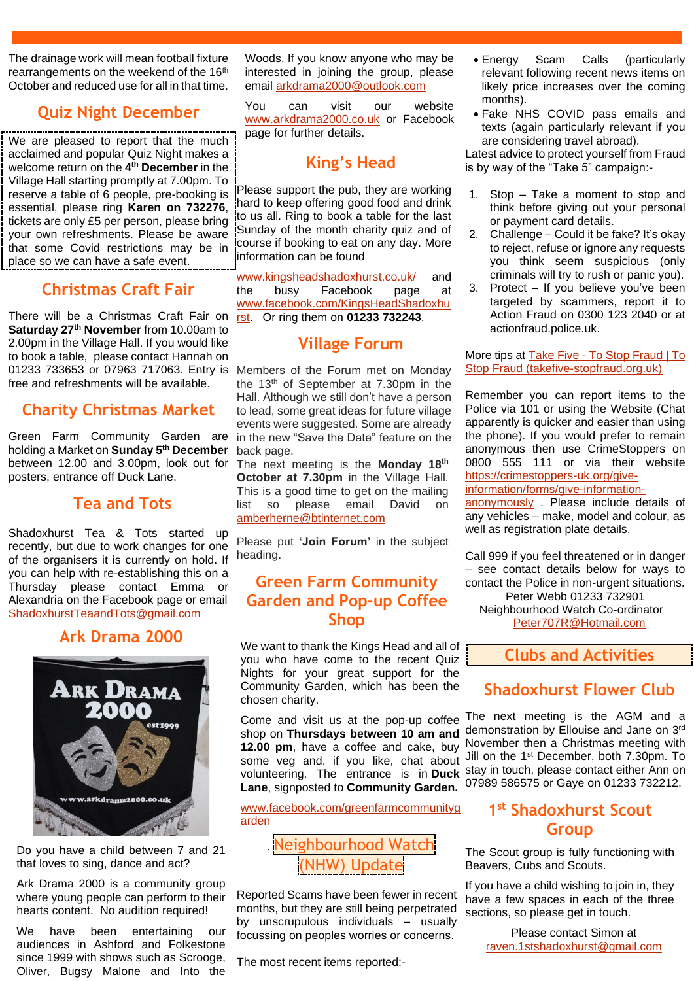The drainage work will mean football fixture rearrangements on the weekend of the 16<sup>th</sup> October and reduced use for all in that time.

## **Quiz Night December**

We are pleased to report that the much acclaimed and popular Quiz Night makes a welcome return on the **4 th December** in the Village Hall starting promptly at 7.00pm. To reserve a table of 6 people, pre-booking is essential, please ring **Karen on 732276**, tickets are only £5 per person, please bring your own refreshments. Please be aware that some Covid restrictions may be in place so we can have a safe event.

## **Christmas Craft Fair**

There will be a Christmas Craft Fair on **Saturday 27th November** from 10.00am to 2.00pm in the Village Hall. If you would like to book a table, please contact Hannah on 01233 733653 or 07963 717063. Entry is free and refreshments will be available.

## **Charity Christmas Market**

Green Farm Community Garden are holding a Market on **Sunday 5th December** between 12.00 and 3.00pm, look out for posters, entrance off Duck Lane.

## **Tea and Tots**

Shadoxhurst Tea & Tots started up recently, but due to work changes for one of the organisers it is currently on hold. If you can help with re-establishing this on a Thursday please contact Emma or Alexandria on the Facebook page or email [ShadoxhurstTeaandTots@gmail.com](mailto:ShadoxhurstTeaandTots@gmail.com)

## **Ark Drama 2000**



Do you have a child between 7 and 21 that loves to sing, dance and act?

Ark Drama 2000 is a community group where young people can perform to their hearts content. No audition required!

We have been entertaining our audiences in Ashford and Folkestone since 1999 with shows such as Scrooge, Oliver, Bugsy Malone and Into the Woods. If you know anyone who may be interested in joining the group, please email [arkdrama2000@outlook.com](mailto:arkdrama2000@outlook.com)

You can visit our website [www.arkdrama2000.co.uk](http://www.arkdrama2000.co.uk/) or Facebook page for further details.

## **King's Head**

Please support the pub, they are working hard to keep offering good food and drink to us all. Ring to book a table for the last Sunday of the month charity quiz and of course if booking to eat on any day. More information can be found

[www.kingsheadshadoxhurst.co.uk/](http://www.kingsheadshadoxhurst.co.uk/) and the busy Facebook page at [www.facebook.com/KingsHeadShadoxhu](http://www.facebook.com/KingsHeadShadoxhurst) [rst.](http://www.facebook.com/KingsHeadShadoxhurst) Or ring them on **01233 732243**.

## **Village Forum**

Members of the Forum met on Monday the 13 th of September at 7.30pm in the Hall. Although we still don't have a person to lead, some great ideas for future village events were suggested. Some are already in the new "Save the Date" feature on the back page.

The next meeting is the **Monday 18th October at 7.30pm** in the Village Hall. This is a good time to get on the mailing list so please email David on [amberherne@btinternet.com](mailto:amberherne@btinternet.com)

Please put **'Join Forum'** in the subject heading.

## **Green Farm Community Garden and Pop-up Coffee Shop**

We want to thank the Kings Head and all of you who have come to the recent Quiz Nights for your great support for the Community Garden, which has been the chosen charity.

Come and visit us at the pop-up coffee shop on **Thursdays between 10 am and 12.00 pm**, have a coffee and cake, buy **Lane**, signposted to **Community Garden.**

[www.facebook.com/greenfarmcommunityg](http://www.facebook.com/greenfarmcommunitygarden) [arden](http://www.facebook.com/greenfarmcommunitygarden)

## . Neighbourhood Watch (NHW) Update

Reported Scams have been fewer in recent months, but they are still being perpetrated by unscrupulous individuals – usually focussing on peoples worries or concerns.

The most recent items reported:-

- Energy Scam Calls (particularly relevant following recent news items on likely price increases over the coming months).
- Fake NHS COVID pass emails and texts (again particularly relevant if you are considering travel abroad).

Latest advice to protect yourself from Fraud is by way of the "Take 5" campaign:-

- 1. Stop Take a moment to stop and think before giving out your personal or payment card details.
- 2. Challenge Could it be fake? It's okay to reject, refuse or ignore any requests you think seem suspicious (only criminals will try to rush or panic you).
- 3. Protect If you believe you've been targeted by scammers, report it to Action Fraud on 0300 123 2040 or at actionfraud.police.uk.

More tips at Take Five - To Stop Fraud | To [Stop Fraud \(takefive-stopfraud.org.uk\)](https://takefive-stopfraud.org.uk/)

Remember you can report items to the Police via 101 or using the Website (Chat apparently is quicker and easier than using the phone). If you would prefer to remain anonymous then use CrimeStoppers on 0800 555 111 or via their website [https://crimestoppers-uk.org/give-](https://crimestoppers-uk.org/give-information/forms/give-information-anonymously)

[information/forms/give-information-](https://crimestoppers-uk.org/give-information/forms/give-information-anonymously)

[anonymously](https://crimestoppers-uk.org/give-information/forms/give-information-anonymously) . Please include details of any vehicles – make, model and colour, as well as registration plate details.

Call 999 if you feel threatened or in danger – see contact details below for ways to contact the Police in non-urgent situations. Peter Webb 01233 732901 Neighbourhood Watch Co-ordinator

[Peter707R@Hotmail.com](mailto:Peter707R@Hotmail.com)

## **Clubs and Activities**

## **Shadoxhurst Flower Club**

some veg and, if you like, chat about Jill on the 1<sup>st</sup> December, both 7.30pm. To volunteering. The entrance is in **Duck**  stay in touch, please contact either Ann on The next meeting is the AGM and a demonstration by Ellouise and Jane on 3rd November then a Christmas meeting with 07989 586575 or Gaye on 01233 732212.

## **1 st Shadoxhurst Scout Group**

The Scout group is fully functioning with Beavers, Cubs and Scouts.

If you have a child wishing to join in, they have a few spaces in each of the three sections, so please get in touch.

> Please contact Simon at [raven.1stshadoxhurst@gmail.com](mailto:raven.1stshadoxhurst@gmail.com)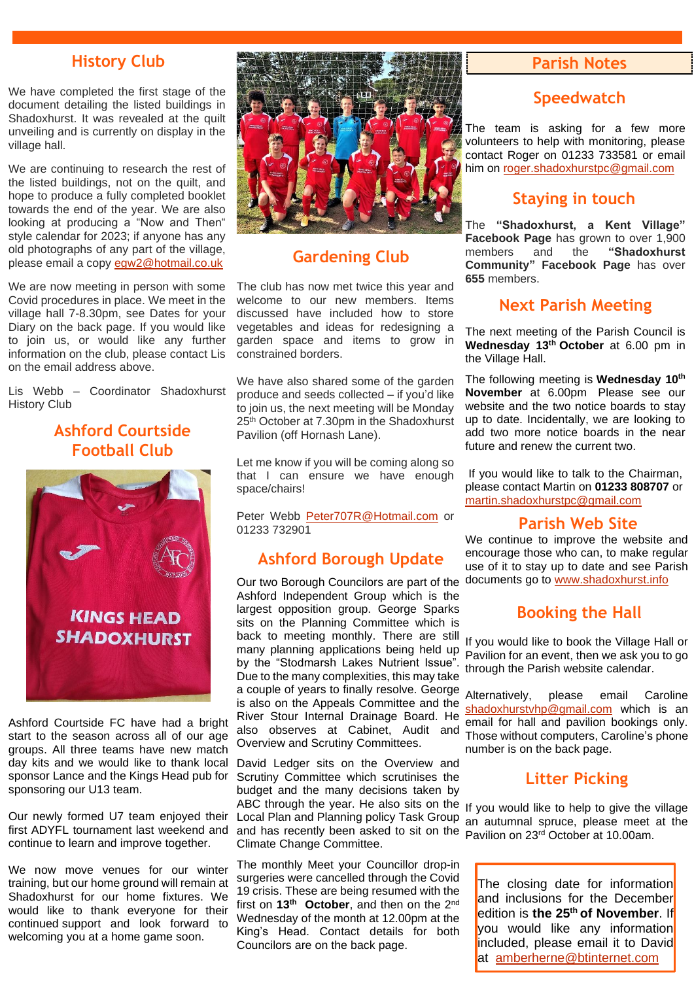## **History Club**

We have completed the first stage of the document detailing the listed buildings in Shadoxhurst. It was revealed at the quilt unveiling and is currently on display in the village hall.

We are continuing to research the rest of the listed buildings, not on the quilt, and hope to produce a fully completed booklet towards the end of the year. We are also looking at producing a "Now and Then" style calendar for 2023; if anyone has any old photographs of any part of the village, please email a copy [egw2@hotmail.co.uk](mailto:egw2@hotmail.co.uk)

We are now meeting in person with some Covid procedures in place. We meet in the village hall 7-8.30pm, see Dates for your Diary on the back page. If you would like to join us, or would like any further information on the club, please contact Lis on the email address above.

Lis Webb – Coordinator Shadoxhurst History Club

## **Ashford Courtside Football Club**



Ashford Courtside FC have had a bright start to the season across all of our age groups. All three teams have new match day kits and we would like to thank local sponsor Lance and the Kings Head pub for sponsoring our U13 team.

Our newly formed U7 team enjoyed their first ADYFL tournament last weekend and continue to learn and improve together.

We now move venues for our winter training, but our home ground will remain at Shadoxhurst for our home fixtures. We would like to thank everyone for their continued support and look forward to welcoming you at a home game soon.



## **Gardening Club**

The club has now met twice this year and welcome to our new members. Items discussed have included how to store vegetables and ideas for redesigning a garden space and items to grow in constrained borders.

We have also shared some of the garden produce and seeds collected – if you'd like to join us, the next meeting will be Monday 25<sup>th</sup> October at 7.30pm in the Shadoxhurst Pavilion (off Hornash Lane).

Let me know if you will be coming along so that I can ensure we have enough space/chairs!

Peter Webb [Peter707R@Hotmail.com](mailto:Peter707R@Hotmail.com) or 01233 732901

## **Ashford Borough Update**

Our two Borough Councilors are part of the Ashford Independent Group which is the largest opposition group. George Sparks sits on the Planning Committee which is back to meeting monthly. There are still many planning applications being held up by the "Stodmarsh Lakes Nutrient Issue". Due to the many complexities, this may take a couple of years to finally resolve. George is also on the Appeals Committee and the River Stour Internal Drainage Board. He also observes at Cabinet, Audit and Overview and Scrutiny Committees.

David Ledger sits on the Overview and Scrutiny Committee which scrutinises the budget and the many decisions taken by ABC through the year. He also sits on the Local Plan and Planning policy Task Group and has recently been asked to sit on the Pavilion on 23<sup>rd</sup> October at 10.00am. Climate Change Committee.

The monthly Meet your Councillor drop-in surgeries were cancelled through the Covid 19 crisis. These are being resumed with the first on **13th October**, and then on the 2nd Wednesday of the month at 12.00pm at the King's Head. Contact details for both Councilors are on the back page.

#### **Parish Notes**

## **Speedwatch**

The team is asking for a few more volunteers to help with monitoring, please contact Roger on 01233 733581 or email him on [roger.shadoxhurstpc@gmail.com](mailto:roger.shadoxhurstpc@gmail.com)

## **Staying in touch**

The **"Shadoxhurst, a Kent Village" Facebook Page** has grown to over 1,900 members and the "Shadoxhurst" and the "Shadoxhurst **Community" Facebook Page** has over **655** members.

## **Next Parish Meeting**

The next meeting of the Parish Council is **Wednesday 13 th October** at 6.00 pm in the Village Hall.

The following meeting is **Wednesday 10th November** at 6.00pm Please see our website and the two notice boards to stay up to date. Incidentally, we are looking to add two more notice boards in the near future and renew the current two.

If you would like to talk to the Chairman, please contact Martin on **01233 808707** or [martin.shadoxhurstpc@gmail.com](mailto:martin.shadoxhurstpc@gmail.com)

#### **Parish Web Site**

We continue to improve the website and encourage those who can, to make regular use of it to stay up to date and see Parish documents go to [www.shadoxhurst.info](http://www.shadoxhurst.info/)

## **Booking the Hall**

If you would like to book the Village Hall or Pavilion for an event, then we ask you to go through the Parish website calendar.

Alternatively, please email Caroline [shadoxhurstvhp@gmail.com](mailto:shadoxhurstvhp@gmail.com) which is an email for hall and pavilion bookings only. Those without computers, Caroline's phone number is on the back page.

#### **Litter Picking**

If you would like to help to give the village an autumnal spruce, please meet at the

The closing date for information and inclusions for the December edition is **the 25th of November**. If you would like any information included, please email it to David at [amberherne@btinternet.com](mailto:amberherne@btinternet.com)